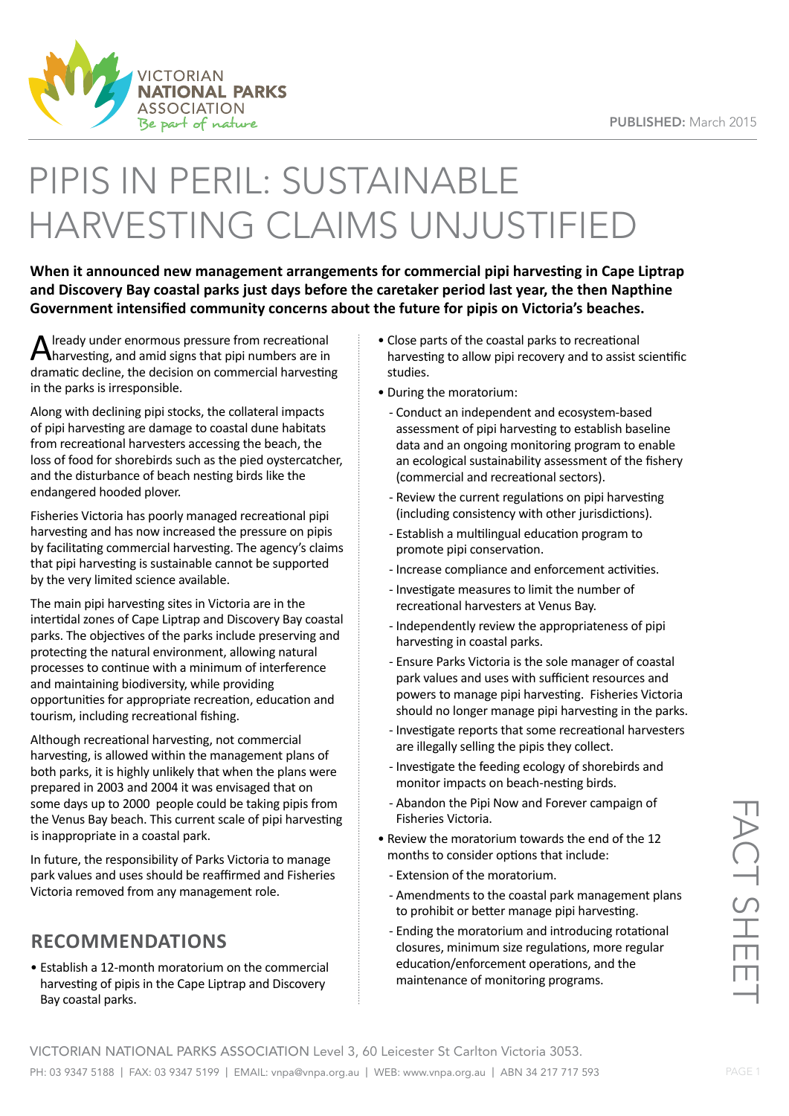

# PIPIS IN PERIL: SUSTAINABLE HARVESTING CLAIMS UNJUSTIFIED

**When it announced new management arrangements for commercial pipi harvesting in Cape Liptrap and Discovery Bay coastal parks just days before the caretaker period last year, the then Napthine Government intensified community concerns about the future for pipis on Victoria's beaches.**

A lready under enormous pressure from recreational<br>Aharvesting, and amid signs that pipi numbers are in dramatic decline, the decision on commercial harvesting in the parks is irresponsible.

Along with declining pipi stocks, the collateral impacts of pipi harvesting are damage to coastal dune habitats from recreational harvesters accessing the beach, the loss of food for shorebirds such as the pied oystercatcher, and the disturbance of beach nesting birds like the endangered hooded plover.

Fisheries Victoria has poorly managed recreational pipi harvesting and has now increased the pressure on pipis by facilitating commercial harvesting. The agency's claims that pipi harvesting is sustainable cannot be supported by the very limited science available.

The main pipi harvesting sites in Victoria are in the intertidal zones of Cape Liptrap and Discovery Bay coastal parks. The objectives of the parks include preserving and protecting the natural environment, allowing natural processes to continue with a minimum of interference and maintaining biodiversity, while providing opportunities for appropriate recreation, education and tourism, including recreational fishing.

Although recreational harvesting, not commercial harvesting, is allowed within the management plans of both parks, it is highly unlikely that when the plans were prepared in 2003 and 2004 it was envisaged that on some days up to 2000 people could be taking pipis from the Venus Bay beach. This current scale of pipi harvesting is inappropriate in a coastal park.

In future, the responsibility of Parks Victoria to manage park values and uses should be reaffirmed and Fisheries Victoria removed from any management role.

### **RECOMMENDATIONS**

• Establish a 12-month moratorium on the commercial harvesting of pipis in the Cape Liptrap and Discovery Bay coastal parks.

- Close parts of the coastal parks to recreational harvesting to allow pipi recovery and to assist scientific studies.
- During the moratorium:
- Conduct an independent and ecosystem-based assessment of pipi harvesting to establish baseline data and an ongoing monitoring program to enable an ecological sustainability assessment of the fishery (commercial and recreational sectors).
- Review the current regulations on pipi harvesting (including consistency with other jurisdictions).
- Establish a multilingual education program to promote pipi conservation.
- Increase compliance and enforcement activities.
- Investigate measures to limit the number of recreational harvesters at Venus Bay.
- Independently review the appropriateness of pipi harvesting in coastal parks.
- Ensure Parks Victoria is the sole manager of coastal park values and uses with sufficient resources and powers to manage pipi harvesting. Fisheries Victoria should no longer manage pipi harvesting in the parks.
- Investigate reports that some recreational harvesters are illegally selling the pipis they collect.
- Investigate the feeding ecology of shorebirds and monitor impacts on beach-nesting birds.
- Abandon the Pipi Now and Forever campaign of Fisheries Victoria.
- Review the moratorium towards the end of the 12 months to consider options that include:
	- Extension of the moratorium.
	- Amendments to the coastal park management plans to prohibit or better manage pipi harvesting.
	- Ending the moratorium and introducing rotational closures, minimum size regulations, more regular education/enforcement operations, and the maintenance of monitoring programs.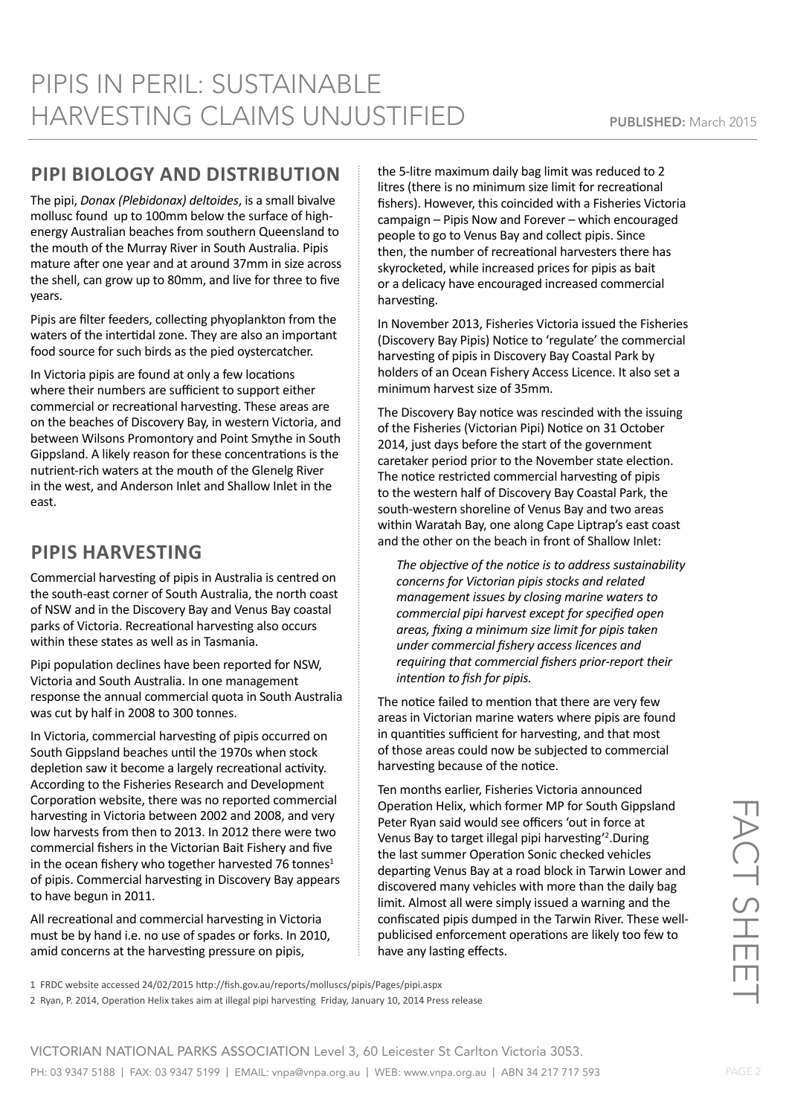#### **PIPI BIOLOGY AND DISTRIBUTION**

The pipi, *Donax (Plebidonax) deltoides*, is a small bivalve mollusc found up to 100mm below the surface of highenergy Australian beaches from southern Queensland to the mouth of the Murray River in South Australia. Pipis mature after one year and at around 37mm in size across the shell, can grow up to 80mm, and live for three to five years.

Pipis are filter feeders, collecting phyoplankton from the waters of the intertidal zone. They are also an important food source for such birds as the pied oystercatcher.

In Victoria pipis are found at only a few locations where their numbers are sufficient to support either commercial or recreational harvesting. These areas are on the beaches of Discovery Bay, in western Victoria, and between Wilsons Promontory and Point Smythe in South Gippsland. A likely reason for these concentrations is the nutrient-rich waters at the mouth of the Glenelg River in the west, and Anderson Inlet and Shallow Inlet in the east.

# **PIPIS HARVESTING**

Commercial harvesting of pipis in Australia is centred on the south-east corner of South Australia, the north coast of NSW and in the Discovery Bay and Venus Bay coastal parks of Victoria. Recreational harvesting also occurs within these states as well as in Tasmania.

Pipi population declines have been reported for NSW, Victoria and South Australia. In one management response the annual commercial quota in South Australia was cut by half in 2008 to 300 tonnes.

In Victoria, commercial harvesting of pipis occurred on South Gippsland beaches until the 1970s when stock depletion saw it become a largely recreational activity. According to the Fisheries Research and Development Corporation website, there was no reported commercial harvesting in Victoria between 2002 and 2008, and very low harvests from then to 2013. In 2012 there were two commercial fishers in the Victorian Bait Fishery and five in the ocean fishery who together harvested 76 tonnes<sup>1</sup> of pipis. Commercial harvesting in Discovery Bay appears to have begun in 2011.

All recreational and commercial harvesting in Victoria must be by hand i.e. no use of spades or forks. In 2010, amid concerns at the harvesting pressure on pipis,

the 5-litre maximum daily bag limit was reduced to 2 litres (there is no minimum size limit for recreational fishers). However, this coincided with a Fisheries Victoria campaign – Pipis Now and Forever – which encouraged people to go to Venus Bay and collect pipis. Since then, the number of recreational harvesters there has skyrocketed, while increased prices for pipis as bait or a delicacy have encouraged increased commercial harvesting.

In November 2013, Fisheries Victoria issued the Fisheries (Discovery Bay Pipis) Notice to 'regulate' the commercial harvesting of pipis in Discovery Bay Coastal Park by holders of an Ocean Fishery Access Licence. It also set a minimum harvest size of 35mm.

The Discovery Bay notice was rescinded with the issuing of the Fisheries (Victorian Pipi) Notice on 31 October 2014, just days before the start of the government caretaker period prior to the November state election. The notice restricted commercial harvesting of pipis to the western half of Discovery Bay Coastal Park, the south-western shoreline of Venus Bay and two areas within Waratah Bay, one along Cape Liptrap's east coast and the other on the beach in front of Shallow Inlet:

*The objective of the notice is to address sustainability concerns for Victorian pipis stocks and related management issues by closing marine waters to commercial pipi harvest except for specified open areas, fixing a minimum size limit for pipis taken under commercial fishery access licences and requiring that commercial fishers prior-report their intention to fish for pipis.*

The notice failed to mention that there are very few areas in Victorian marine waters where pipis are found in quantities sufficient for harvesting, and that most of those areas could now be subjected to commercial harvesting because of the notice.

Ten months earlier, Fisheries Victoria announced Operation Helix, which former MP for South Gippsland Peter Ryan said would see officers 'out in force at Venus Bay to target illegal pipi harvesting'<sup>2</sup>. During the last summer Operation Sonic checked vehicles departing Venus Bay at a road block in Tarwin Lower and discovered many vehicles with more than the daily bag limit. Almost all were simply issued a warning and the confiscated pipis dumped in the Tarwin River. These wellpublicised enforcement operations are likely too few to have any lasting effects.

FACT SHEET **FACT SHE** 

1 FRDC website accessed 24/02/2015 http://fish.gov.au/reports/molluscs/pipis/Pages/pipi.aspx

2 Ryan, P. 2014, Operation Helix takes aim at illegal pipi harvesting Friday, January 10, 2014 Press release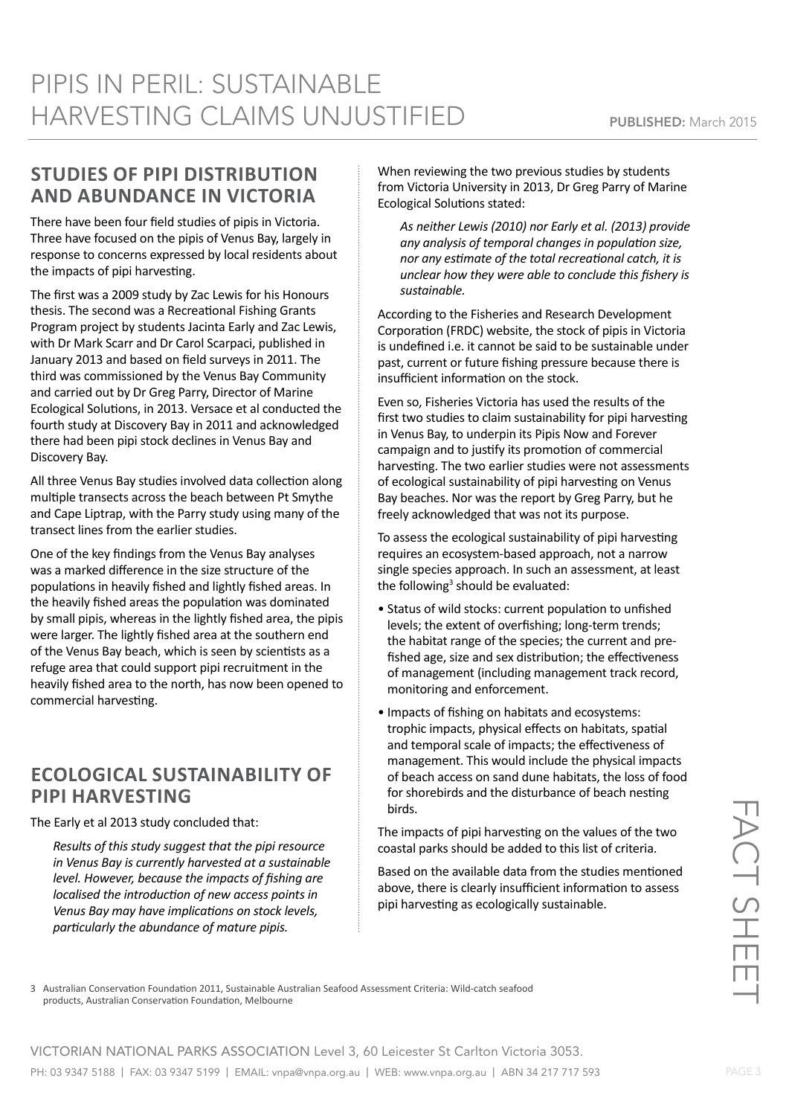#### **STUDIES OF PIPI DISTRIBUTION AND ABUNDANCE IN VICTORIA**

There have been four field studies of pipis in Victoria. Three have focused on the pipis of Venus Bay, largely in response to concerns expressed by local residents about the impacts of pipi harvesting.

The first was a 2009 study by Zac Lewis for his Honours thesis. The second was a Recreational Fishing Grants Program project by students Jacinta Early and Zac Lewis, with Dr Mark Scarr and Dr Carol Scarpaci, published in January 2013 and based on field surveys in 2011. The third was commissioned by the Venus Bay Community and carried out by Dr Greg Parry, Director of Marine Ecological Solutions, in 2013. Versace et al conducted the fourth study at Discovery Bay in 2011 and acknowledged there had been pipi stock declines in Venus Bay and Discovery Bay.

All three Venus Bay studies involved data collection along multiple transects across the beach between Pt Smythe and Cape Liptrap, with the Parry study using many of the transect lines from the earlier studies.

One of the key findings from the Venus Bay analyses was a marked difference in the size structure of the populations in heavily fished and lightly fished areas. In the heavily fished areas the population was dominated by small pipis, whereas in the lightly fished area, the pipis were larger. The lightly fished area at the southern end of the Venus Bay beach, which is seen by scientists as a refuge area that could support pipi recruitment in the heavily fished area to the north, has now been opened to commercial harvesting.

#### **ECOLOGICAL SUSTAINABILITY OF PIPI HARVESTING**

The Early et al 2013 study concluded that:

*Results of this study suggest that the pipi resource in Venus Bay is currently harvested at a sustainable level. However, because the impacts of fishing are localised the introduction of new access points in Venus Bay may have implications on stock levels, particularly the abundance of mature pipis.*

When reviewing the two previous studies by students from Victoria University in 2013, Dr Greg Parry of Marine Ecological Solutions stated:

*As neither Lewis (2010) nor Early et al. (2013) provide any analysis of temporal changes in population size, nor any estimate of the total recreational catch, it is unclear how they were able to conclude this fishery is sustainable.*

According to the Fisheries and Research Development Corporation (FRDC) website, the stock of pipis in Victoria is undefined i.e. it cannot be said to be sustainable under past, current or future fishing pressure because there is insufficient information on the stock.

Even so, Fisheries Victoria has used the results of the first two studies to claim sustainability for pipi harvesting in Venus Bay, to underpin its Pipis Now and Forever campaign and to justify its promotion of commercial harvesting. The two earlier studies were not assessments of ecological sustainability of pipi harvesting on Venus Bay beaches. Nor was the report by Greg Parry, but he freely acknowledged that was not its purpose.

To assess the ecological sustainability of pipi harvesting requires an ecosystem-based approach, not a narrow single species approach. In such an assessment, at least the following<sup>3</sup> should be evaluated:

- Status of wild stocks: current population to unfished levels; the extent of overfishing; long-term trends; the habitat range of the species; the current and prefished age, size and sex distribution; the effectiveness of management (including management track record, monitoring and enforcement.
- Impacts of fishing on habitats and ecosystems: trophic impacts, physical effects on habitats, spatial and temporal scale of impacts; the effectiveness of management. This would include the physical impacts of beach access on sand dune habitats, the loss of food for shorebirds and the disturbance of beach nesting birds.

The impacts of pipi harvesting on the values of the two coastal parks should be added to this list of criteria.

Based on the available data from the studies mentioned above, there is clearly insufficient information to assess pipi harvesting as ecologically sustainable.

3 Australian Conservation Foundation 2011, Sustainable Australian Seafood Assessment Criteria: Wild-catch seafood products, Australian Conservation Foundation, Melbourne